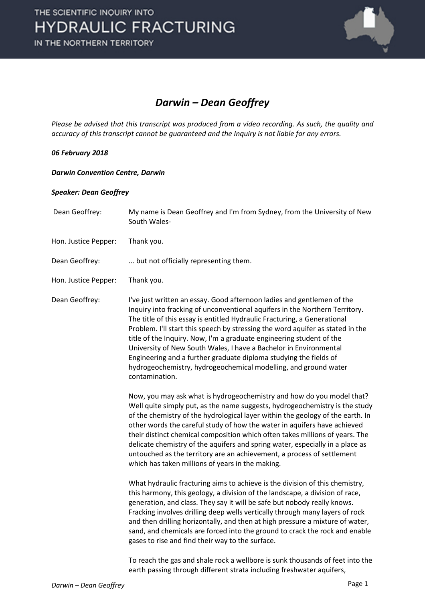

## *Darwin – Dean Geoffrey*

*Please be advised that this transcript was produced from a video recording. As such, the quality and accuracy of this transcript cannot be guaranteed and the Inquiry is not liable for any errors.*

#### *06 February 2018*

#### *Darwin Convention Centre, Darwin*

### *Speaker: Dean Geoffrey*

| Dean Geoffrey:       | My name is Dean Geoffrey and I'm from Sydney, from the University of New<br>South Wales-                                                                                                                                                                                                                                                                                                                                                                                                                                                                                                                                   |
|----------------------|----------------------------------------------------------------------------------------------------------------------------------------------------------------------------------------------------------------------------------------------------------------------------------------------------------------------------------------------------------------------------------------------------------------------------------------------------------------------------------------------------------------------------------------------------------------------------------------------------------------------------|
| Hon. Justice Pepper: | Thank you.                                                                                                                                                                                                                                                                                                                                                                                                                                                                                                                                                                                                                 |
| Dean Geoffrey:       | but not officially representing them.                                                                                                                                                                                                                                                                                                                                                                                                                                                                                                                                                                                      |
| Hon. Justice Pepper: | Thank you.                                                                                                                                                                                                                                                                                                                                                                                                                                                                                                                                                                                                                 |
| Dean Geoffrey:       | I've just written an essay. Good afternoon ladies and gentlemen of the<br>Inquiry into fracking of unconventional aquifers in the Northern Territory.<br>The title of this essay is entitled Hydraulic Fracturing, a Generational<br>Problem. I'll start this speech by stressing the word aquifer as stated in the<br>title of the Inquiry. Now, I'm a graduate engineering student of the<br>University of New South Wales, I have a Bachelor in Environmental<br>Engineering and a further graduate diploma studying the fields of<br>hydrogeochemistry, hydrogeochemical modelling, and ground water<br>contamination. |
|                      | Now, you may ask what is hydrogeochemistry and how do you model that?<br>Well quite simply put, as the name suggests, hydrogeochemistry is the study<br>of the chemistry of the hydrological layer within the geology of the earth. In<br>other words the careful study of how the water in aquifers have achieved<br>their distinct chemical composition which often takes millions of years. The<br>delicate chemistry of the aquifers and spring water, especially in a place as<br>untouched as the territory are an achievement, a process of settlement<br>which has taken millions of years in the making.          |
|                      | What hydraulic fracturing aims to achieve is the division of this chemistry,<br>this harmony, this geology, a division of the landscape, a division of race,<br>generation, and class. They say it will be safe but nobody really knows.<br>Fracking involves drilling deep wells vertically through many layers of rock<br>and then drilling horizontally, and then at high pressure a mixture of water,<br>sand, and chemicals are forced into the ground to crack the rock and enable<br>gases to rise and find their way to the surface.                                                                               |
|                      | To reach the gas and shale rock a wellbore is sunk thousands of feet into the                                                                                                                                                                                                                                                                                                                                                                                                                                                                                                                                              |

earth passing through different strata including freshwater aquifers,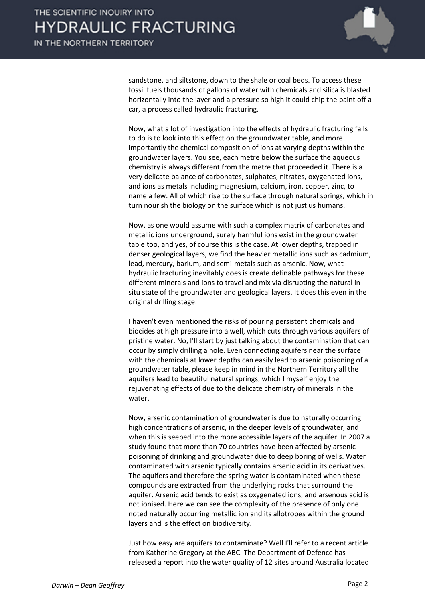

sandstone, and siltstone, down to the shale or coal beds. To access these fossil fuels thousands of gallons of water with chemicals and silica is blasted horizontally into the layer and a pressure so high it could chip the paint off a car, a process called hydraulic fracturing.

Now, what a lot of investigation into the effects of hydraulic fracturing fails to do is to look into this effect on the groundwater table, and more importantly the chemical composition of ions at varying depths within the groundwater layers. You see, each metre below the surface the aqueous chemistry is always different from the metre that proceeded it. There is a very delicate balance of carbonates, sulphates, nitrates, oxygenated ions, and ions as metals including magnesium, calcium, iron, copper, zinc, to name a few. All of which rise to the surface through natural springs, which in turn nourish the biology on the surface which is not just us humans.

Now, as one would assume with such a complex matrix of carbonates and metallic ions underground, surely harmful ions exist in the groundwater table too, and yes, of course this is the case. At lower depths, trapped in denser geological layers, we find the heavier metallic ions such as cadmium, lead, mercury, barium, and semi-metals such as arsenic. Now, what hydraulic fracturing inevitably does is create definable pathways for these different minerals and ions to travel and mix via disrupting the natural in situ state of the groundwater and geological layers. It does this even in the original drilling stage.

I haven't even mentioned the risks of pouring persistent chemicals and biocides at high pressure into a well, which cuts through various aquifers of pristine water. No, I'll start by just talking about the contamination that can occur by simply drilling a hole. Even connecting aquifers near the surface with the chemicals at lower depths can easily lead to arsenic poisoning of a groundwater table, please keep in mind in the Northern Territory all the aquifers lead to beautiful natural springs, which I myself enjoy the rejuvenating effects of due to the delicate chemistry of minerals in the water.

Now, arsenic contamination of groundwater is due to naturally occurring high concentrations of arsenic, in the deeper levels of groundwater, and when this is seeped into the more accessible layers of the aquifer. In 2007 a study found that more than 70 countries have been affected by arsenic poisoning of drinking and groundwater due to deep boring of wells. Water contaminated with arsenic typically contains arsenic acid in its derivatives. The aquifers and therefore the spring water is contaminated when these compounds are extracted from the underlying rocks that surround the aquifer. Arsenic acid tends to exist as oxygenated ions, and arsenous acid is not ionised. Here we can see the complexity of the presence of only one noted naturally occurring metallic ion and its allotropes within the ground layers and is the effect on biodiversity.

Just how easy are aquifers to contaminate? Well I'll refer to a recent article from Katherine Gregory at the ABC. The Department of Defence has released a report into the water quality of 12 sites around Australia located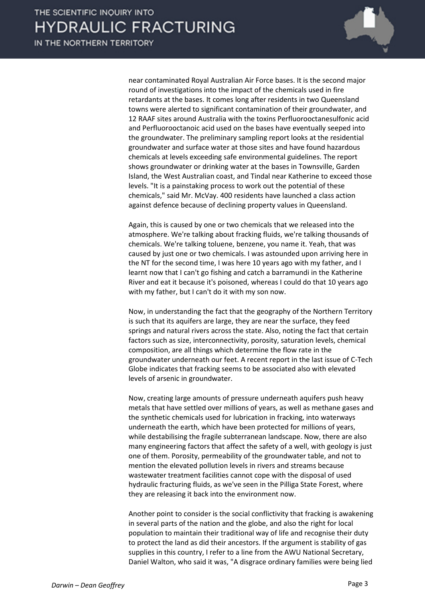IN THE NORTHERN TERRITORY



near contaminated Royal Australian Air Force bases. It is the second major round of investigations into the impact of the chemicals used in fire retardants at the bases. It comes long after residents in two Queensland towns were alerted to significant contamination of their groundwater, and 12 RAAF sites around Australia with the toxins Perfluorooctanesulfonic acid and Perfluorooctanoic acid used on the bases have eventually seeped into the groundwater. The preliminary sampling report looks at the residential groundwater and surface water at those sites and have found hazardous chemicals at levels exceeding safe environmental guidelines. The report shows groundwater or drinking water at the bases in Townsville, Garden Island, the West Australian coast, and Tindal near Katherine to exceed those levels. "It is a painstaking process to work out the potential of these chemicals," said Mr. McVay. 400 residents have launched a class action against defence because of declining property values in Queensland.

Again, this is caused by one or two chemicals that we released into the atmosphere. We're talking about fracking fluids, we're talking thousands of chemicals. We're talking toluene, benzene, you name it. Yeah, that was caused by just one or two chemicals. I was astounded upon arriving here in the NT for the second time, I was here 10 years ago with my father, and I learnt now that I can't go fishing and catch a barramundi in the Katherine River and eat it because it's poisoned, whereas I could do that 10 years ago with my father, but I can't do it with my son now.

Now, in understanding the fact that the geography of the Northern Territory is such that its aquifers are large, they are near the surface, they feed springs and natural rivers across the state. Also, noting the fact that certain factors such as size, interconnectivity, porosity, saturation levels, chemical composition, are all things which determine the flow rate in the groundwater underneath our feet. A recent report in the last issue of C-Tech Globe indicates that fracking seems to be associated also with elevated levels of arsenic in groundwater.

Now, creating large amounts of pressure underneath aquifers push heavy metals that have settled over millions of years, as well as methane gases and the synthetic chemicals used for lubrication in fracking, into waterways underneath the earth, which have been protected for millions of years, while destabilising the fragile subterranean landscape. Now, there are also many engineering factors that affect the safety of a well, with geology is just one of them. Porosity, permeability of the groundwater table, and not to mention the elevated pollution levels in rivers and streams because wastewater treatment facilities cannot cope with the disposal of used hydraulic fracturing fluids, as we've seen in the Pilliga State Forest, where they are releasing it back into the environment now.

Another point to consider is the social conflictivity that fracking is awakening in several parts of the nation and the globe, and also the right for local population to maintain their traditional way of life and recognise their duty to protect the land as did their ancestors. If the argument is stability of gas supplies in this country, I refer to a line from the AWU National Secretary, Daniel Walton, who said it was, "A disgrace ordinary families were being lied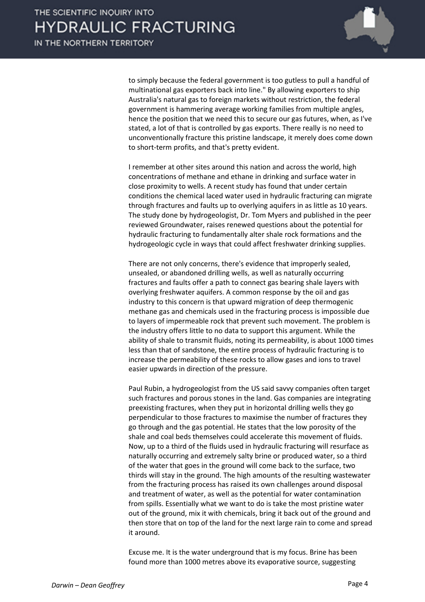

to simply because the federal government is too gutless to pull a handful of multinational gas exporters back into line." By allowing exporters to ship Australia's natural gas to foreign markets without restriction, the federal government is hammering average working families from multiple angles, hence the position that we need this to secure our gas futures, when, as I've stated, a lot of that is controlled by gas exports. There really is no need to unconventionally fracture this pristine landscape, it merely does come down to short-term profits, and that's pretty evident.

I remember at other sites around this nation and across the world, high concentrations of methane and ethane in drinking and surface water in close proximity to wells. A recent study has found that under certain conditions the chemical laced water used in hydraulic fracturing can migrate through fractures and faults up to overlying aquifers in as little as 10 years. The study done by hydrogeologist, Dr. Tom Myers and published in the peer reviewed Groundwater, raises renewed questions about the potential for hydraulic fracturing to fundamentally alter shale rock formations and the hydrogeologic cycle in ways that could affect freshwater drinking supplies.

There are not only concerns, there's evidence that improperly sealed, unsealed, or abandoned drilling wells, as well as naturally occurring fractures and faults offer a path to connect gas bearing shale layers with overlying freshwater aquifers. A common response by the oil and gas industry to this concern is that upward migration of deep thermogenic methane gas and chemicals used in the fracturing process is impossible due to layers of impermeable rock that prevent such movement. The problem is the industry offers little to no data to support this argument. While the ability of shale to transmit fluids, noting its permeability, is about 1000 times less than that of sandstone, the entire process of hydraulic fracturing is to increase the permeability of these rocks to allow gases and ions to travel easier upwards in direction of the pressure.

Paul Rubin, a hydrogeologist from the US said savvy companies often target such fractures and porous stones in the land. Gas companies are integrating preexisting fractures, when they put in horizontal drilling wells they go perpendicular to those fractures to maximise the number of fractures they go through and the gas potential. He states that the low porosity of the shale and coal beds themselves could accelerate this movement of fluids. Now, up to a third of the fluids used in hydraulic fracturing will resurface as naturally occurring and extremely salty brine or produced water, so a third of the water that goes in the ground will come back to the surface, two thirds will stay in the ground. The high amounts of the resulting wastewater from the fracturing process has raised its own challenges around disposal and treatment of water, as well as the potential for water contamination from spills. Essentially what we want to do is take the most pristine water out of the ground, mix it with chemicals, bring it back out of the ground and then store that on top of the land for the next large rain to come and spread it around.

Excuse me. It is the water underground that is my focus. Brine has been found more than 1000 metres above its evaporative source, suggesting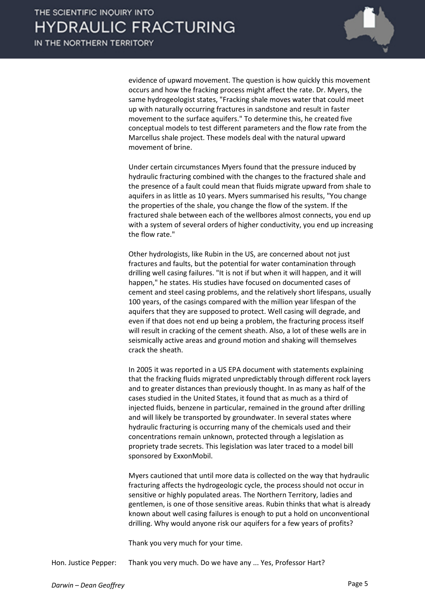

evidence of upward movement. The question is how quickly this movement occurs and how the fracking process might affect the rate. Dr. Myers, the same hydrogeologist states, "Fracking shale moves water that could meet up with naturally occurring fractures in sandstone and result in faster movement to the surface aquifers." To determine this, he created five conceptual models to test different parameters and the flow rate from the Marcellus shale project. These models deal with the natural upward movement of brine.

Under certain circumstances Myers found that the pressure induced by hydraulic fracturing combined with the changes to the fractured shale and the presence of a fault could mean that fluids migrate upward from shale to aquifers in as little as 10 years. Myers summarised his results, "You change the properties of the shale, you change the flow of the system. If the fractured shale between each of the wellbores almost connects, you end up with a system of several orders of higher conductivity, you end up increasing the flow rate."

Other hydrologists, like Rubin in the US, are concerned about not just fractures and faults, but the potential for water contamination through drilling well casing failures. "It is not if but when it will happen, and it will happen," he states. His studies have focused on documented cases of cement and steel casing problems, and the relatively short lifespans, usually 100 years, of the casings compared with the million year lifespan of the aquifers that they are supposed to protect. Well casing will degrade, and even if that does not end up being a problem, the fracturing process itself will result in cracking of the cement sheath. Also, a lot of these wells are in seismically active areas and ground motion and shaking will themselves crack the sheath.

In 2005 it was reported in a US EPA document with statements explaining that the fracking fluids migrated unpredictably through different rock layers and to greater distances than previously thought. In as many as half of the cases studied in the United States, it found that as much as a third of injected fluids, benzene in particular, remained in the ground after drilling and will likely be transported by groundwater. In several states where hydraulic fracturing is occurring many of the chemicals used and their concentrations remain unknown, protected through a legislation as propriety trade secrets. This legislation was later traced to a model bill sponsored by ExxonMobil.

Myers cautioned that until more data is collected on the way that hydraulic fracturing affects the hydrogeologic cycle, the process should not occur in sensitive or highly populated areas. The Northern Territory, ladies and gentlemen, is one of those sensitive areas. Rubin thinks that what is already known about well casing failures is enough to put a hold on unconventional drilling. Why would anyone risk our aquifers for a few years of profits?

Thank you very much for your time.

Hon. Justice Pepper: Thank you very much. Do we have any ... Yes, Professor Hart?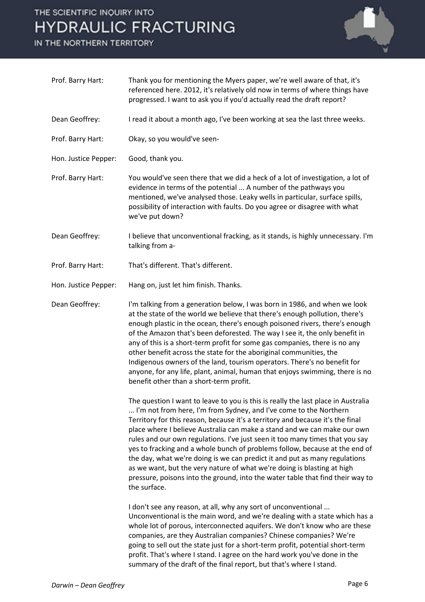# THE SCIENTIFIC INQUIRY INTO **HYDRAULIC FRACTURING**

IN THE NORTHERN TERRITORY



| Prof. Barry Hart:    | Thank you for mentioning the Myers paper, we're well aware of that, it's<br>referenced here. 2012, it's relatively old now in terms of where things have<br>progressed. I want to ask you if you'd actually read the draft report?                                                                                                                                                                                                                                                                                                                                                                                                                                                                                                             |
|----------------------|------------------------------------------------------------------------------------------------------------------------------------------------------------------------------------------------------------------------------------------------------------------------------------------------------------------------------------------------------------------------------------------------------------------------------------------------------------------------------------------------------------------------------------------------------------------------------------------------------------------------------------------------------------------------------------------------------------------------------------------------|
| Dean Geoffrey:       | I read it about a month ago, I've been working at sea the last three weeks.                                                                                                                                                                                                                                                                                                                                                                                                                                                                                                                                                                                                                                                                    |
| Prof. Barry Hart:    | Okay, so you would've seen-                                                                                                                                                                                                                                                                                                                                                                                                                                                                                                                                                                                                                                                                                                                    |
| Hon. Justice Pepper: | Good, thank you.                                                                                                                                                                                                                                                                                                                                                                                                                                                                                                                                                                                                                                                                                                                               |
| Prof. Barry Hart:    | You would've seen there that we did a heck of a lot of investigation, a lot of<br>evidence in terms of the potential  A number of the pathways you<br>mentioned, we've analysed those. Leaky wells in particular, surface spills,<br>possibility of interaction with faults. Do you agree or disagree with what<br>we've put down?                                                                                                                                                                                                                                                                                                                                                                                                             |
| Dean Geoffrey:       | I believe that unconventional fracking, as it stands, is highly unnecessary. I'm<br>talking from a-                                                                                                                                                                                                                                                                                                                                                                                                                                                                                                                                                                                                                                            |
| Prof. Barry Hart:    | That's different. That's different.                                                                                                                                                                                                                                                                                                                                                                                                                                                                                                                                                                                                                                                                                                            |
| Hon. Justice Pepper: | Hang on, just let him finish. Thanks.                                                                                                                                                                                                                                                                                                                                                                                                                                                                                                                                                                                                                                                                                                          |
| Dean Geoffrey:       | I'm talking from a generation below, I was born in 1986, and when we look<br>at the state of the world we believe that there's enough pollution, there's<br>enough plastic in the ocean, there's enough poisoned rivers, there's enough<br>of the Amazon that's been deforested. The way I see it, the only benefit in<br>any of this is a short-term profit for some gas companies, there is no any<br>other benefit across the state for the aboriginal communities, the<br>Indigenous owners of the land, tourism operators. There's no benefit for<br>anyone, for any life, plant, animal, human that enjoys swimming, there is no<br>benefit other than a short-term profit.                                                              |
|                      | The question I want to leave to you is this is really the last place in Australia<br>I'm not from here, I'm from Sydney, and I've come to the Northern<br>Territory for this reason, because it's a territory and because it's the final<br>place where I believe Australia can make a stand and we can make our own<br>rules and our own regulations. I've just seen it too many times that you say<br>yes to fracking and a whole bunch of problems follow, because at the end of<br>the day, what we're doing is we can predict it and put as many regulations<br>as we want, but the very nature of what we're doing is blasting at high<br>pressure, poisons into the ground, into the water table that find their way to<br>the surface. |
|                      | I don't see any reason, at all, why any sort of unconventional<br>Unconventional is the main word, and we're dealing with a state which has a<br>whole lot of porous, interconnected aquifers. We don't know who are these<br>companies, are they Australian companies? Chinese companies? We're<br>going to sell out the state just for a short-term profit, potential short-term<br>profit. That's where I stand. I agree on the hard work you've done in the<br>summary of the draft of the final report, but that's where I stand.                                                                                                                                                                                                         |